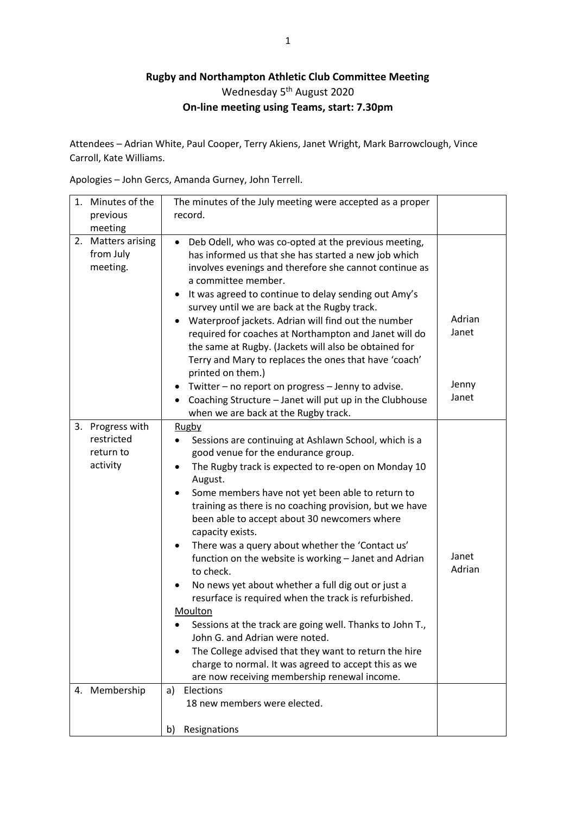## **Rugby and Northampton Athletic Club Committee Meeting** Wednesday 5<sup>th</sup> August 2020 **On-line meeting using Teams, start: 7.30pm**

Attendees – Adrian White, Paul Cooper, Terry Akiens, Janet Wright, Mark Barrowclough, Vince Carroll, Kate Williams.

Apologies – John Gercs, Amanda Gurney, John Terrell.

|    | 1. Minutes of the                                                        | The minutes of the July meeting were accepted as a proper                                                                                                                                                                                                                                                                                                                                                                                                                                                                                                                                                                                                                                                                                                                                                                                                                                                                                  |                 |
|----|--------------------------------------------------------------------------|--------------------------------------------------------------------------------------------------------------------------------------------------------------------------------------------------------------------------------------------------------------------------------------------------------------------------------------------------------------------------------------------------------------------------------------------------------------------------------------------------------------------------------------------------------------------------------------------------------------------------------------------------------------------------------------------------------------------------------------------------------------------------------------------------------------------------------------------------------------------------------------------------------------------------------------------|-----------------|
|    | previous                                                                 | record.                                                                                                                                                                                                                                                                                                                                                                                                                                                                                                                                                                                                                                                                                                                                                                                                                                                                                                                                    |                 |
|    | meeting                                                                  |                                                                                                                                                                                                                                                                                                                                                                                                                                                                                                                                                                                                                                                                                                                                                                                                                                                                                                                                            |                 |
| 2. | <b>Matters arising</b><br>from July<br>meeting.                          | Deb Odell, who was co-opted at the previous meeting,<br>$\bullet$<br>has informed us that she has started a new job which<br>involves evenings and therefore she cannot continue as<br>a committee member.<br>It was agreed to continue to delay sending out Amy's<br>$\bullet$<br>survey until we are back at the Rugby track.<br>Waterproof jackets. Adrian will find out the number<br>required for coaches at Northampton and Janet will do<br>the same at Rugby. (Jackets will also be obtained for<br>Terry and Mary to replaces the ones that have 'coach'<br>printed on them.)                                                                                                                                                                                                                                                                                                                                                     | Adrian<br>Janet |
|    |                                                                          | Twitter - no report on progress - Jenny to advise.<br>Coaching Structure - Janet will put up in the Clubhouse<br>$\bullet$<br>when we are back at the Rugby track.                                                                                                                                                                                                                                                                                                                                                                                                                                                                                                                                                                                                                                                                                                                                                                         | Jenny<br>Janet  |
|    | 3. Progress with<br>restricted<br>return to<br>activity<br>4. Membership | Rugby<br>Sessions are continuing at Ashlawn School, which is a<br>٠<br>good venue for the endurance group.<br>The Rugby track is expected to re-open on Monday 10<br>$\bullet$<br>August.<br>Some members have not yet been able to return to<br>$\bullet$<br>training as there is no coaching provision, but we have<br>been able to accept about 30 newcomers where<br>capacity exists.<br>There was a query about whether the 'Contact us'<br>$\bullet$<br>function on the website is working - Janet and Adrian<br>to check.<br>No news yet about whether a full dig out or just a<br>resurface is required when the track is refurbished.<br>Moulton<br>Sessions at the track are going well. Thanks to John T.<br>John G. and Adrian were noted.<br>The College advised that they want to return the hire<br>charge to normal. It was agreed to accept this as we<br>are now receiving membership renewal income.<br>Elections<br>a) | Janet<br>Adrian |
|    |                                                                          | 18 new members were elected.<br>Resignations<br>b)                                                                                                                                                                                                                                                                                                                                                                                                                                                                                                                                                                                                                                                                                                                                                                                                                                                                                         |                 |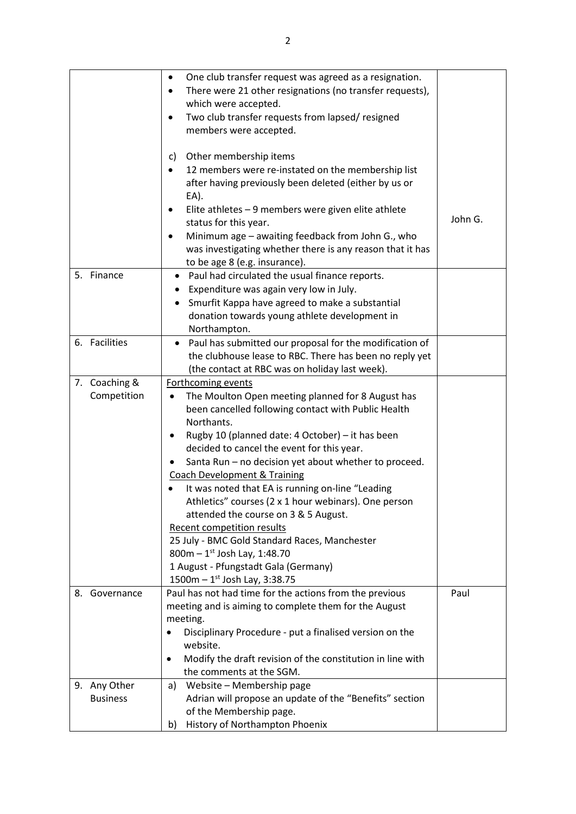|                 | One club transfer request was agreed as a resignation.                  |         |
|-----------------|-------------------------------------------------------------------------|---------|
|                 | There were 21 other resignations (no transfer requests),                |         |
|                 | which were accepted.                                                    |         |
|                 | Two club transfer requests from lapsed/resigned<br>٠                    |         |
|                 |                                                                         |         |
|                 | members were accepted.                                                  |         |
|                 | Other membership items<br>C)                                            |         |
|                 |                                                                         |         |
|                 | 12 members were re-instated on the membership list                      |         |
|                 | after having previously been deleted (either by us or                   |         |
|                 | EA).                                                                    |         |
|                 | Elite athletes - 9 members were given elite athlete                     | John G. |
|                 | status for this year.                                                   |         |
|                 | Minimum age - awaiting feedback from John G., who                       |         |
|                 | was investigating whether there is any reason that it has               |         |
|                 | to be age 8 (e.g. insurance).                                           |         |
| 5. Finance      | Paul had circulated the usual finance reports.<br>٠                     |         |
|                 | Expenditure was again very low in July.                                 |         |
|                 | Smurfit Kappa have agreed to make a substantial                         |         |
|                 | donation towards young athlete development in                           |         |
|                 | Northampton.                                                            |         |
| 6. Facilities   | Paul has submitted our proposal for the modification of<br>٠            |         |
|                 | the clubhouse lease to RBC. There has been no reply yet                 |         |
|                 | (the contact at RBC was on holiday last week).                          |         |
| 7. Coaching &   | Forthcoming events                                                      |         |
| Competition     | The Moulton Open meeting planned for 8 August has                       |         |
|                 | been cancelled following contact with Public Health                     |         |
|                 | Northants.                                                              |         |
|                 | Rugby 10 (planned date: 4 October) - it has been                        |         |
|                 | decided to cancel the event for this year.                              |         |
|                 | Santa Run - no decision yet about whether to proceed.                   |         |
|                 | <b>Coach Development &amp; Training</b>                                 |         |
|                 | It was noted that EA is running on-line "Leading                        |         |
|                 | Athletics" courses (2 x 1 hour webinars). One person                    |         |
|                 | attended the course on 3 & 5 August.                                    |         |
|                 | Recent competition results                                              |         |
|                 | 25 July - BMC Gold Standard Races, Manchester                           |         |
|                 | 800m $-1^{st}$ Josh Lay, 1:48.70                                        |         |
|                 | 1 August - Pfungstadt Gala (Germany)                                    |         |
|                 | 1500m $-1^{st}$ Josh Lay, 3:38.75                                       |         |
| 8. Governance   | Paul has not had time for the actions from the previous                 | Paul    |
|                 | meeting and is aiming to complete them for the August                   |         |
|                 | meeting.                                                                |         |
|                 | Disciplinary Procedure - put a finalised version on the                 |         |
|                 | website.                                                                |         |
|                 | Modify the draft revision of the constitution in line with<br>$\bullet$ |         |
|                 | the comments at the SGM.                                                |         |
| 9. Any Other    | Website - Membership page<br>a)                                         |         |
| <b>Business</b> | Adrian will propose an update of the "Benefits" section                 |         |
|                 | of the Membership page.                                                 |         |
|                 | History of Northampton Phoenix<br>b)                                    |         |